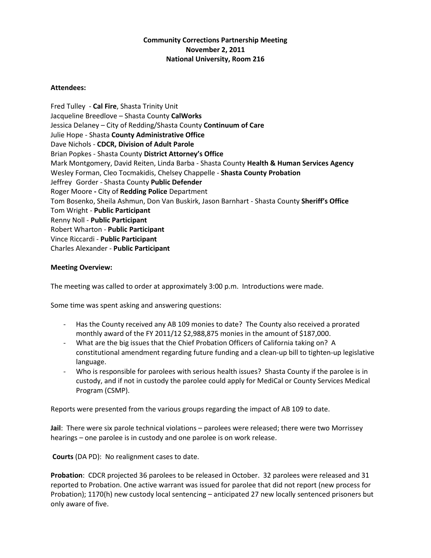## **Community Corrections Partnership Meeting November 2, 2011 National University, Room 216**

## **Attendees:**

Fred Tulley - **Cal Fire**, Shasta Trinity Unit Jacqueline Breedlove – Shasta County **CalWorks** Jessica Delaney – City of Redding/Shasta County **Continuum of Care** Julie Hope - Shasta **County Administrative Office** Dave Nichols - **CDCR, Division of Adult Parole** Brian Popkes - Shasta County **District Attorney's Office** Mark Montgomery, David Reiten, Linda Barba - Shasta County **Health & Human Services Agency** Wesley Forman, Cleo Tocmakidis, Chelsey Chappelle - **Shasta County Probation** Jeffrey Gorder - Shasta County **Public Defender** Roger Moore **-** City of **Redding Police** Department Tom Bosenko, Sheila Ashmun, Don Van Buskirk, Jason Barnhart - Shasta County **Sheriff's Office** Tom Wright - **Public Participant** Renny Noll - **Public Participant** Robert Wharton - **Public Participant** Vince Riccardi - **Public Participant** Charles Alexander - **Public Participant**

## **Meeting Overview:**

The meeting was called to order at approximately 3:00 p.m. Introductions were made.

Some time was spent asking and answering questions:

- Has the County received any AB 109 monies to date? The County also received a prorated monthly award of the FY 2011/12 \$2,988,875 monies in the amount of \$187,000.
- What are the big issues that the Chief Probation Officers of California taking on? A constitutional amendment regarding future funding and a clean-up bill to tighten-up legislative language.
- Who is responsible for parolees with serious health issues? Shasta County if the parolee is in custody, and if not in custody the parolee could apply for MediCal or County Services Medical Program (CSMP).

Reports were presented from the various groups regarding the impact of AB 109 to date.

**Jail**: There were six parole technical violations – parolees were released; there were two Morrissey hearings – one parolee is in custody and one parolee is on work release.

**Courts** (DA PD): No realignment cases to date.

**Probation**: CDCR projected 36 parolees to be released in October. 32 parolees were released and 31 reported to Probation. One active warrant was issued for parolee that did not report (new process for Probation); 1170(h) new custody local sentencing – anticipated 27 new locally sentenced prisoners but only aware of five.